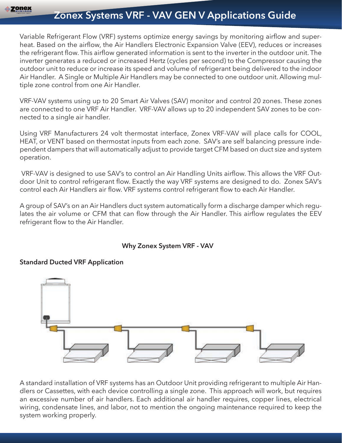# **Zonex Systems VRF - VAV GEN V Applications Guide**

Variable Refrigerant Flow (VRF) systems optimize energy savings by monitoring airflow and superheat. Based on the airflow, the Air Handlers Electronic Expansion Valve (EEV), reduces or increases the refrigerant flow. This airflow generated information is sent to the inverter in the outdoor unit. The inverter generates a reduced or increased Hertz (cycles per second) to the Compressor causing the outdoor unit to reduce or increase its speed and volume of refrigerant being delivered to the indoor Air Handler. A Single or Multiple Air Handlers may be connected to one outdoor unit. Allowing multiple zone control from one Air Handler.

VRF-VAV systems using up to 20 Smart Air Valves (SAV) monitor and control 20 zones. These zones are connected to one VRF Air Handler. VRF-VAV allows up to 20 independent SAV zones to be connected to a single air handler.

Using VRF Manufacturers 24 volt thermostat interface, Zonex VRF-VAV will place calls for COOL, HEAT, or VENT based on thermostat inputs from each zone. SAV's are self balancing pressure independent dampers that will automatically adjust to provide target CFM based on duct size and system operation.

 VRF-VAV is designed to use SAV's to control an Air Handling Units airflow. This allows the VRF Outdoor Unit to control refrigerant flow. Exactly the way VRF systems are designed to do. Zonex SAV's control each Air Handlers air flow. VRF systems control refrigerant flow to each Air Handler.

A group of SAV's on an Air Handlers duct system automatically form a discharge damper which regulates the air volume or CFM that can flow through the Air Handler. This airflow regulates the EEV refrigerant flow to the Air Handler.

## **Why Zonex System VRF - VAV**

## **Standard Ducted VRF Application**



A standard installation of VRF systems has an Outdoor Unit providing refrigerant to multiple Air Handlers or Cassettes, with each device controlling a single zone. This approach will work, but requires an excessive number of air handlers. Each additional air handler requires, copper lines, electrical wiring, condensate lines, and labor, not to mention the ongoing maintenance required to keep the system working properly.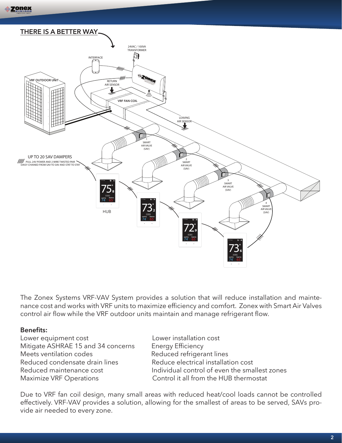

The Zonex Systems VRF-VAV System provides a solution that will reduce installation and maintenance cost and works with VRF units to maximize efficiency and comfort. Zonex with Smart Air Valves control air flow while the VRF outdoor units maintain and manage refrigerant flow.

#### **Benefits:**

Lower equipment cost Lower installation cost Mitigate ASHRAE 15 and 34 concerns Energy Efficiency Meets ventilation codes Reduced refrigerant lines Reduced condensate drain lines Reduce electrical installation cost Maximize VRF Operations **Control** it all from the HUB thermostat

Reduced maintenance cost **Individual control of even the smallest zones** 

Due to VRF fan coil design, many small areas with reduced heat/cool loads cannot be controlled effectively. VRF-VAV provides a solution, allowing for the smallest of areas to be served, SAVs provide air needed to every zone.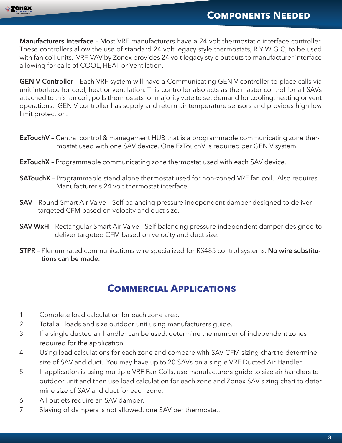**Manufacturers Interface** – Most VRF manufacturers have a 24 volt thermostatic interface controller. These controllers allow the use of standard 24 volt legacy style thermostats, R Y W G C, to be used with fan coil units. VRF-VAV by Zonex provides 24 volt legacy style outputs to manufacturer interface allowing for calls of COOL, HEAT or Ventilation.

**GEN V Controller -** Each VRF system will have a Communicating GEN V controller to place calls via unit interface for cool, heat or ventilation. This controller also acts as the master control for all SAVs attached to this fan coil, polls thermostats for majority vote to set demand for cooling, heating or vent operations. GEN V controller has supply and return air temperature sensors and provides high low limit protection.

- **EzTouchV** Central control & management HUB that is a programmable communicating zone thermostat used with one SAV device. One EzTouchV is required per GEN V system.
- **EzTouchX** Programmable communicating zone thermostat used with each SAV device.
- **SATouchX** Programmable stand alone thermostat used for non-zoned VRF fan coil. Also requires Manufacturer's 24 volt thermostat interface.
- **SAV** Round Smart Air Valve Self balancing pressure independent damper designed to deliver targeted CFM based on velocity and duct size.
- **SAV WxH** Rectangular Smart Air Valve Self balancing pressure independent damper designed to deliver targeted CFM based on velocity and duct size.
- **STPR** Plenum rated communications wire specialized for RS485 control systems. **No wire substitu tions can be made.**

## **COMMERCIAL APPLICATIONS**

- 1. Complete load calculation for each zone area.
- 2. Total all loads and size outdoor unit using manufacturers guide.
- 3. If a single ducted air handler can be used, determine the number of independent zones required for the application.
- 4. Using load calculations for each zone and compare with SAV CFM sizing chart to determine size of SAV and duct. You may have up to 20 SAVs on a single VRF Ducted Air Handler.
- 5. If application is using multiple VRF Fan Coils, use manufacturers guide to size air handlers to outdoor unit and then use load calculation for each zone and Zonex SAV sizing chart to deter mine size of SAV and duct for each zone.
- 6. All outlets require an SAV damper.
- 7. Slaving of dampers is not allowed, one SAV per thermostat.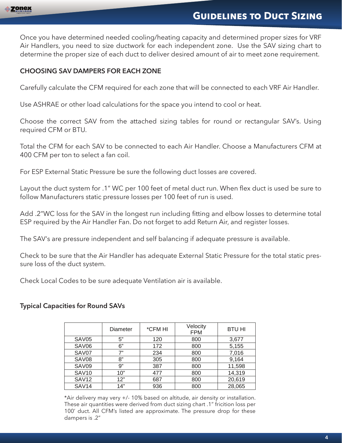

## **GUIDELINES TO DUCT SIZING**

Once you have determined needed cooling/heating capacity and determined proper sizes for VRF Air Handlers, you need to size ductwork for each independent zone. Use the SAV sizing chart to determine the proper size of each duct to deliver desired amount of air to meet zone requirement.

## **CHOOSING SAV DAMPERS FOR EACH ZONE**

Carefully calculate the CFM required for each zone that will be connected to each VRF Air Handler.

Use ASHRAE or other load calculations for the space you intend to cool or heat.

Choose the correct SAV from the attached sizing tables for round or rectangular SAV's. Using required CFM or BTU.

Total the CFM for each SAV to be connected to each Air Handler. Choose a Manufacturers CFM at 400 CFM per ton to select a fan coil.

For ESP External Static Pressure be sure the following duct losses are covered.

Layout the duct system for .1" WC per 100 feet of metal duct run. When flex duct is used be sure to follow Manufacturers static pressure losses per 100 feet of run is used.

Add .2"WC loss for the SAV in the longest run including fitting and elbow losses to determine total ESP required by the Air Handler Fan. Do not forget to add Return Air, and register losses.

The SAV's are pressure independent and self balancing if adequate pressure is available.

Check to be sure that the Air Handler has adequate External Static Pressure for the total static pressure loss of the duct system.

Check Local Codes to be sure adequate Ventilation air is available.

## **Typical Capacities for Round SAVs**

|                   | Diameter | *CFM HI | Velocity<br><b>FPM</b> | <b>BTU HI</b> |
|-------------------|----------|---------|------------------------|---------------|
| SAV <sub>05</sub> | 5"       | 120     | 800                    | 3,677         |
| SAV <sub>06</sub> | 6"       | 172     | 800                    | 5,155         |
| SAV07             | 7"       | 234     | 800                    | 7,016         |
| SAV <sub>08</sub> | 8"       | 305     | 800                    | 9,164         |
| SAV09             | 9"       | 387     | 800                    | 11,598        |
| <b>SAV10</b>      | 10"      | 477     | 800                    | 14,319        |
| <b>SAV12</b>      | 12"      | 687     | 800                    | 20,619        |
| SAV <sub>14</sub> | 14"      | 936     | 800                    | 28,065        |

\*Air delivery may very +/- 10% based on altitude, air density or installation. These air quantities were derived from duct sizing chart .1" fricition loss per 100' duct. All CFM's listed are approximate. The pressure drop for these dampers is .2"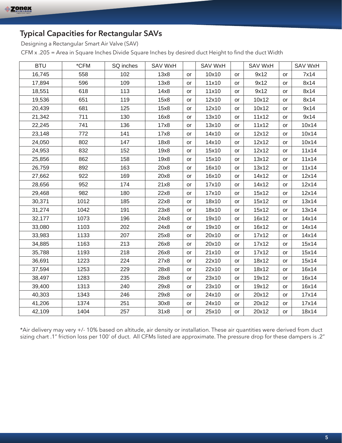## **Typical Capacities for Rectangular SAVs**

Designing a Rectangular Smart Air Valve (SAV)

CFM x .205 = Area in Square Inches Divide Square Inches by desired duct Height to find the duct Width

| <b>BTU</b> | *CFM | SQ inches | <b>SAV WxH</b> |           | <b>SAV WxH</b> |           | <b>SAV WxH</b> |           | <b>SAV WxH</b> |
|------------|------|-----------|----------------|-----------|----------------|-----------|----------------|-----------|----------------|
| 16,745     | 558  | 102       | 13x8           | or        | 10x10          | or        | 9x12           | or        | 7x14           |
| 17,894     | 596  | 109       | 13x8           | or        | 11x10          | or        | 9x12           | or        | 8x14           |
| 18,551     | 618  | 113       | 14x8           | or        | 11x10          | or        | 9x12           | or        | 8x14           |
| 19,536     | 651  | 119       | 15x8           | or        | 12x10          | or        | 10x12          | or        | 8x14           |
| 20,439     | 681  | 125       | 15x8           | or        | 12x10          | or        | 10x12          | or        | 9x14           |
| 21,342     | 711  | 130       | 16x8           | or        | 13x10          | or        | 11x12          | or        | 9x14           |
| 22,245     | 741  | 136       | 17x8           | or        | 13x10          | or        | 11x12          | or        | 10x14          |
| 23,148     | 772  | 141       | 17x8           | or        | 14x10          | or        | 12x12          | or        | 10x14          |
| 24,050     | 802  | 147       | 18x8           | or        | 14x10          | <b>or</b> | 12x12          | or        | 10x14          |
| 24,953     | 832  | 152       | 19x8           | or        | 15x10          | or        | 12x12          | or        | 11x14          |
| 25,856     | 862  | 158       | 19x8           | <b>or</b> | 15x10          | <b>or</b> | 13x12          | or        | 11x14          |
| 26,759     | 892  | 163       | 20x8           | or        | 16x10          | or        | 13x12          | or        | 11x14          |
| 27,662     | 922  | 169       | 20x8           | or        | 16x10          | or        | 14x12          | or        | 12x14          |
| 28,656     | 952  | 174       | 21x8           | or        | 17x10          | or        | 14x12          | or        | 12x14          |
| 29,468     | 982  | 180       | 22x8           | or        | 17x10          | or        | 15x12          | or        | 12x14          |
| 30,371     | 1012 | 185       | 22x8           | or        | 18x10          | or        | 15x12          | or        | 13x14          |
| 31,274     | 1042 | 191       | 23x8           | <b>or</b> | 18x10          | or        | 15x12          | or        | 13x14          |
| 32,177     | 1073 | 196       | 24x8           | or        | 19x10          | or        | 16x12          | or        | 14x14          |
| 33,080     | 1103 | 202       | 24x8           | or        | 19x10          | or        | 16x12          | or        | 14x14          |
| 33,983     | 1133 | 207       | 25x8           | or        | 20x10          | or        | 17x12          | or        | 14x14          |
| 34,885     | 1163 | 213       | 26x8           | <b>or</b> | 20x10          | or        | 17x12          | or        | 15x14          |
| 35,788     | 1193 | 218       | 26x8           | <b>or</b> | 21x10          | or        | 17x12          | or        | 15x14          |
| 36,691     | 1223 | 224       | 27x8           | or        | 22x10          | or        | 18x12          | <b>or</b> | 15x14          |
| 37,594     | 1253 | 229       | 28x8           | or        | 22x10          | or        | 18x12          | or        | 16x14          |
| 38,497     | 1283 | 235       | 28x8           | or        | 23x10          | or        | 19x12          | or        | 16x14          |
| 39,400     | 1313 | 240       | 29x8           | or        | 23x10          | or        | 19x12          | or        | 16x14          |
| 40,303     | 1343 | 246       | 29x8           | or        | 24x10          | or        | 20x12          | or        | 17x14          |
| 41,206     | 1374 | 251       | 30x8           | <b>or</b> | 24x10          | <b>or</b> | 20x12          | <b>or</b> | 17x14          |
| 42,109     | 1404 | 257       | 31x8           | <b>or</b> | 25x10          | <b>or</b> | 20x12          | or        | 18x14          |

\*Air delivery may very +/- 10% based on altitude, air density or installation. These air quantities were derived from duct sizing chart .1" friction loss per 100' of duct. All CFMs listed are approximate. The pressure drop for these dampers is .2"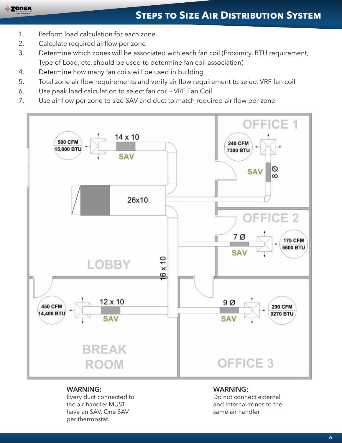- 1. Perform load calculation for each zone
- 2. Calculate required airflow per zone
- 3. Determine which zones will be associated with each fan coil (Proximity, BTU requirement, Type of Load, etc. should be used to determine fan coil association)
- 4. Determine how many fan coils will be used in building
- 5. Total zone air flow requirements and verify air flow requirement to select VRF fan coil
- 6. Use peak load calculation to select fan coil VRF Fan Coil
- 7. Use air flow per zone to size SAV and duct to match required air flow per zone



#### **WARNING:**

Every duct connected to the air handler MUST have an SAV. One SAV per thermostat.

#### **WARNING:**

Do not connect external and internal zones to the same air handler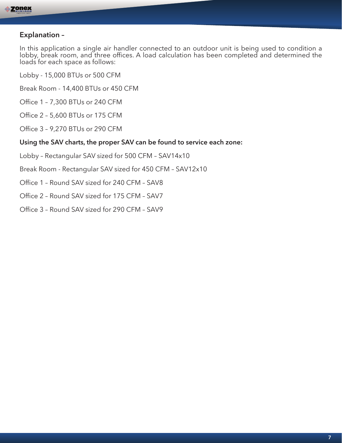

## **Explanation –**

In this application a single air handler connected to an outdoor unit is being used to condition a lobby, break room, and three offices. A load calculation has been completed and determined the loads for each space as follows:

- Lobby 15,000 BTUs or 500 CFM
- Break Room 14,400 BTUs or 450 CFM
- Office 1 7,300 BTUs or 240 CFM
- Office 2 5,600 BTUs or 175 CFM
- Office 3 9,270 BTUs or 290 CFM

#### **Using the SAV charts, the proper SAV can be found to service each zone:**

- Lobby Rectangular SAV sized for 500 CFM SAV14x10
- Break Room Rectangular SAV sized for 450 CFM SAV12x10
- Office 1 Round SAV sized for 240 CFM SAV8
- Office 2 Round SAV sized for 175 CFM SAV7
- Office 3 Round SAV sized for 290 CFM SAV9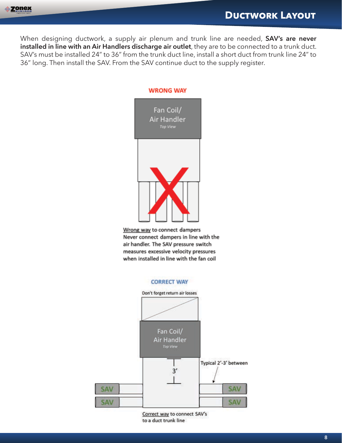When designing ductwork, a supply air plenum and trunk line are needed, **SAV's are never installed in line with an Air Handlers discharge air outlet**, they are to be connected to a trunk duct. SAV's must be installed 24" to 36" from the trunk duct line, install a short duct from trunk line 24" to 36" long. Then install the SAV. From the SAV continue duct to the supply register.



Wrong way to connect dampers Never connect dampers in line with the air handler. The SAV pressure switch measures excessive velocity pressures when installed in line with the fan coil

#### **CORRECT WAY**



Correct way to connect SAV's to a duct trunk line

**8**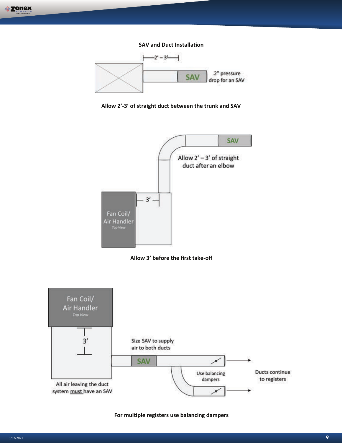**SAV and Duct Installa�on** 



**Allow 2'-3' of straight duct between the trunk and SAV**







For multiple registers use balancing dampers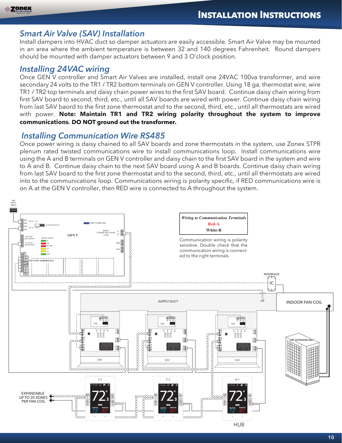## *Smart Air Valve (SAV) Installation*

Install dampers into HVAC duct so damper actuators are easily accessible. Smart Air Valve may be mounted in an area where the ambient temperature is between 32 and 140 degrees Fahrenheit. Round dampers should be mounted with damper actuators between 9 and 3 O'clock position.

## *Installing 24VAC wiring*

Once GEN V controller and Smart Air Valves are installed, install one 24VAC 100va transformer, and wire secondary 24 volts to the TR1 / TR2 bottom terminals on GEN V controller. Using 18 ga. thermostat wire, wire TR1 / TR2 top terminals and daisy chain power wires to the first SAV board. Continue daisy chain wiring from first SAV board to second, third, etc., until all SAV boards are wired with power. Continue daisy chain wiring from last SAV baord to the first zone thermostat and to the second, third, etc., until all thermostats are wired with power. **Note: Maintain TR1 and TR2 wiring polarity throughout the system to improve communications***.* **DO NOT ground out the transformer.**

## *Installing Communication Wire RS485*

Once power wiring is daisy chained to all SAV boards and zone thermostats in the system, use Zonex STPR plenum rated twisted communications wire to install communications loop. Install communications wire using the A and B terminals on GEN V controller and daisy chain to the first SAV board in the system and wire to A and B. Continue daisy chain to the next SAV board using A and B boards. Continue daisy chain wiring from last SAV board to the first zone thermostat and to the second, third, etc., until all thermostats are wired into to the communications loop. Communications wiring is polarity specific, if RED communications wire is on A at the GEN V controller, then RED wire is connected to A throughout the system.